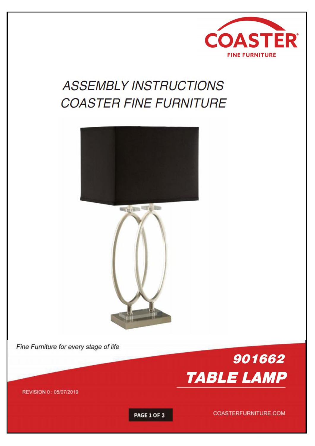

# **ASSEMBLY INSTRUCTIONS COASTER FINE FURNITURE**





Fine Furniture for every stage of life



REVISION 0 : 05/07/2019

**PAGE 1 OF 3** 

COASTERFURNITURE.COM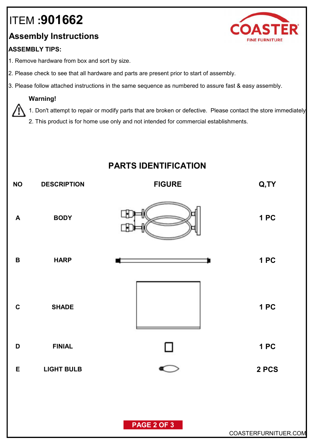## ITEM **:901662**

## **Assembly Instructions**

#### **ASSEMBLY TIPS:**

- 1. Remove hardware from box and sort by size.
- 2. Please check to see that all hardware and parts are present prior to start of assembly.
- 3. Please follow attached instructions in the same sequence as numbered to assure fast & easy assembly.

#### **Warning!**

1. Don't attempt to repair or modify parts that are broken or defective. Please contact the store immediately.

2. This product is for home use only and not intended for commercial establishments.

## **PARTS IDENTIFICATION**

| <b>NO</b>        | <b>DESCRIPTION</b> | <b>FIGURE</b> | Q, TY                |
|------------------|--------------------|---------------|----------------------|
| $\boldsymbol{A}$ | <b>BODY</b>        |               | 1PC                  |
| $\, {\bf B}$     | <b>HARP</b>        |               | 1 PC                 |
| $\mathbf C$      | <b>SHADE</b>       |               | <b>1 PC</b>          |
| $\mathsf D$      | <b>FINIAL</b>      | Ц             | 1 PC                 |
| $\mathsf E$      | <b>LIGHT BULB</b>  | ⊂             | 2 PCS                |
|                  |                    | PAGE 2 OF 3   |                      |
|                  |                    |               | COASTERFURNITUER.COM |

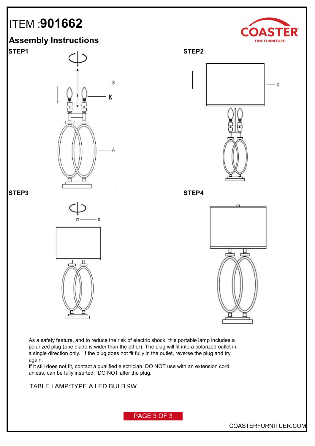## ITEM :**901662**

# **FINE FURNITURE**





**STEP1 STEP2** - C **STEP3 STEP4**



As a safety feature, and to reduce the risk of electric shock, this portable lamp includes a polarized plug (one blade is wider than the other). The plug will fit into a polarized outlet in a single direction only. If the plug does not fit fully in the outlet, reverse the plug and try again.

If it still does not fit, contact a qualified electrician. DO NOT use with an extension cord unless, can be fully inserted. DO NOT alter the plug.

**FLOOR LAMP:TYPE A LED BULB 9W** TABLE LAMP:TYPE A LED BULB 9W

PAGE 3 OF 3

COASTERFURNITUER.COM